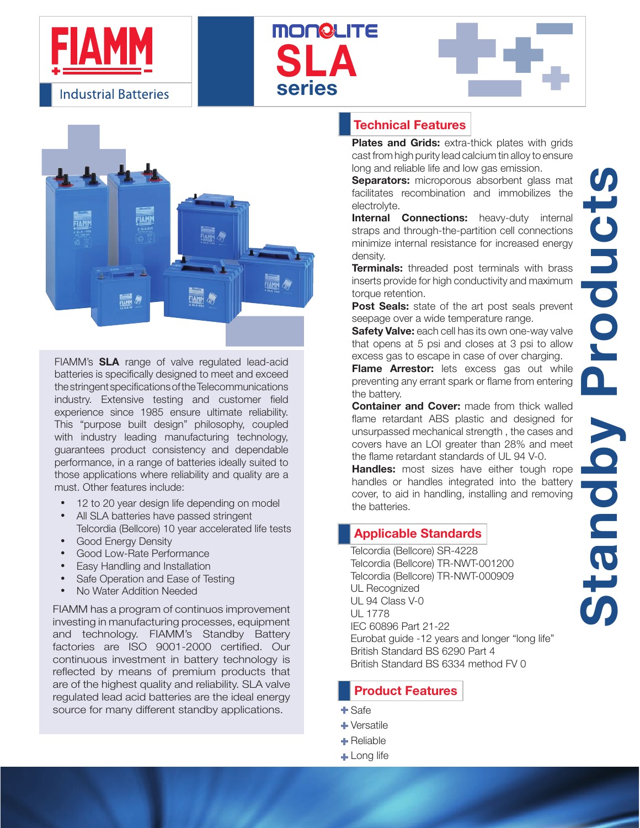







FIAMM's SLA range of valve regulated lead-acid batteries is specifically designed to meet and exceed the stringent specifications of the Telecommunications industry. Extensive testing and customer field experience since 1985 ensure ultimate reliability. This "purpose built design" philosophy, coupled with industry leading manufacturing technology, guarantees product consistency and dependable performance, in a range of batteries ideally suited to those applications where reliability and quality are a must. Other features include:

- 12 to 20 year design life depending on model the batteries.
- All SLA batteries have passed stringent Telcordia (Bellcore) 10 year accelerated life tests
- **Good Energy Density**
- **Good Low-Rate Performance**
- Easy Handling and Installation
- Safe Operation and Ease of Testing
- No Water Addition Needed

FIAMM has a program of continuos improvement investing in manufacturing processes, equipment and technology. FIAMM's Standby Battery factories are ISO 9001-2000 certified. Our continuous investment in battery technology is reflected by means of premium products that are of the highest quality and reliability. SLA valve regulated lead acid batteries are the ideal energy source for many different standby applications.

### Technical Features

Plates and Grids: extra-thick plates with grids cast from high purity lead calcium tin alloy to ensure long and reliable life and low gas emission.

Separators: microporous absorbent glass mat facilitates recombination and immobilizes the electrolyte.

**Internal Connections:** heavy-duty internal straps and through-the-partition cell connections minimize internal resistance for increased energy density.

**Terminals:** threaded post terminals with brass inserts provide for high conductivity and maximum torque retention.

Post Seals: state of the art post seals prevent seepage over a wide temperature range.

**Safety Valve:** each cell has its own one-way valve that opens at 5 psi and closes at 3 psi to allow excess gas to escape in case of over charging.

**Flame Arrestor:** lets excess gas out while preventing any errant spark or flame from entering the battery.

**Container and Cover:** made from thick walled flame retardant ABS plastic and designed for unsurpassed mechanical strength , the cases and covers have an LOI greater than 28% and meet the flame retardant standards of UL 94 V-0.

**Handles:** most sizes have either tough rope handles or handles integrated into the battery cover, to aid in handling, installing and removing

### Applicable Standards

Telcordia (Bellcore) SR-4228 Telcordia (Bellcore) TR-NWT-001200 Telcordia (Bellcore) TR-NWT-000909 UL Recognized UL 94 Class V-0 UL 1778 IEC 60896 Part 21-22 Eurobat guide -12 years and longer "long life" British Standard BS 6290 Part 4 British Standard BS 6334 method FV 0

### Product Features

- Safe
- + Versatile
- **+** Reliable
- **Long life**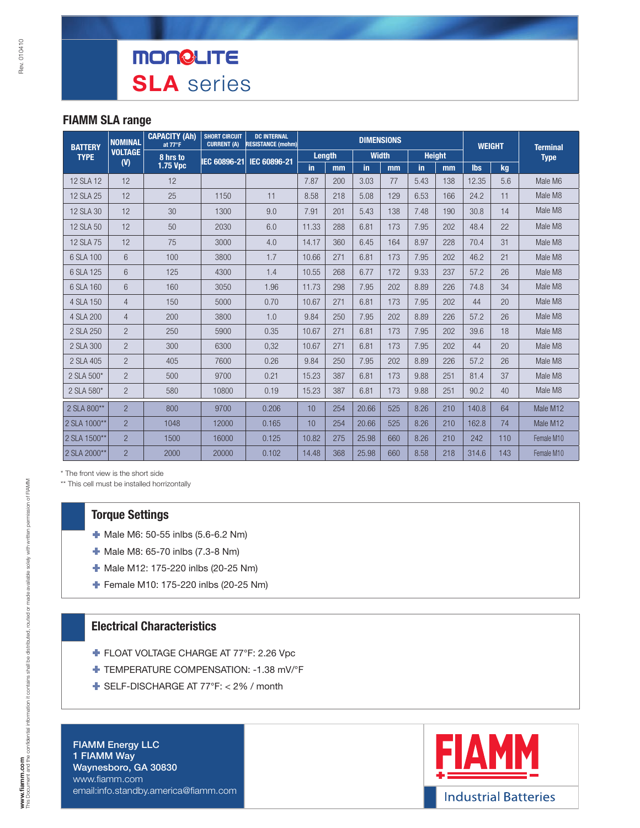#### FIAMM SLA range

| <b>BATTERY</b> | <b>NOMINAL</b> | <b>CAPACITY (Ah)</b><br>at 77°F | <b>SHORT CIRCUIT</b><br><b>CURRENT (A)</b> | <b>DC INTERNAL</b><br><b>RESISTANCE (mohm)</b> |        |     | <b>DIMENSIONS</b> |     |               |     | <b>WEIGHT</b> |     | <b>Terminal</b> |  |
|----------------|----------------|---------------------------------|--------------------------------------------|------------------------------------------------|--------|-----|-------------------|-----|---------------|-----|---------------|-----|-----------------|--|
| <b>TYPE</b>    | <b>VOLTAGE</b> | 8 hrs to                        | IEC 60896-21                               | IEC 60896-21                                   | Length |     | <b>Width</b>      |     | <b>Height</b> |     |               |     | <b>Type</b>     |  |
|                | (V)            | 1.75 Vpc                        |                                            |                                                | in.    | mm  | in                | mm  | in            | mm  | <b>lbs</b>    | kg  |                 |  |
| 12 SLA 12      | 12             | 12                              |                                            |                                                | 7.87   | 200 | 3.03              | 77  | 5.43          | 138 | 12.35         | 5.6 | Male M6         |  |
| 12 SLA 25      | 12             | 25                              | 1150                                       | 11                                             | 8.58   | 218 | 5.08              | 129 | 6.53          | 166 | 24.2          | 11  | Male M8         |  |
| 12 SLA 30      | 12             | 30                              | 1300                                       | 9.0                                            | 7.91   | 201 | 5.43              | 138 | 7.48          | 190 | 30.8          | 14  | Male M8         |  |
| 12 SLA 50      | 12             | 50                              | 2030                                       | 6.0                                            | 11.33  | 288 | 6.81              | 173 | 7.95          | 202 | 48.4          | 22  | Male M8         |  |
| 12 SLA 75      | 12             | 75                              | 3000                                       | 4.0                                            | 14.17  | 360 | 6.45              | 164 | 8.97          | 228 | 70.4          | 31  | Male M8         |  |
| 6 SLA 100      | 6              | 100                             | 3800                                       | 1.7                                            | 10.66  | 271 | 6.81              | 173 | 7.95          | 202 | 46.2          | 21  | Male M8         |  |
| 6 SLA 125      | 6              | 125                             | 4300                                       | 1.4                                            | 10.55  | 268 | 6.77              | 172 | 9.33          | 237 | 57.2          | 26  | Male M8         |  |
| 6 SLA 160      | 6              | 160                             | 3050                                       | 1.96                                           | 11.73  | 298 | 7.95              | 202 | 8.89          | 226 | 74.8          | 34  | Male M8         |  |
| 4 SLA 150      | $\overline{4}$ | 150                             | 5000                                       | 0.70                                           | 10.67  | 271 | 6.81              | 173 | 7.95          | 202 | 44            | 20  | Male M8         |  |
| 4 SLA 200      | $\overline{4}$ | 200                             | 3800                                       | 1.0                                            | 9.84   | 250 | 7.95              | 202 | 8.89          | 226 | 57.2          | 26  | Male M8         |  |
| 2 SLA 250      | $\overline{2}$ | 250                             | 5900                                       | 0.35                                           | 10.67  | 271 | 6.81              | 173 | 7.95          | 202 | 39.6          | 18  | Male M8         |  |
| 2 SLA 300      | $\overline{2}$ | 300                             | 6300                                       | 0,32                                           | 10.67  | 271 | 6.81              | 173 | 7.95          | 202 | 44            | 20  | Male M8         |  |
| 2 SLA 405      | $\overline{2}$ | 405                             | 7600                                       | 0.26                                           | 9.84   | 250 | 7.95              | 202 | 8.89          | 226 | 57.2          | 26  | Male M8         |  |
| 2 SLA 500*     | $\overline{2}$ | 500                             | 9700                                       | 0.21                                           | 15.23  | 387 | 6.81              | 173 | 9.88          | 251 | 81.4          | 37  | Male M8         |  |
| 2 SLA 580*     | $\overline{2}$ | 580                             | 10800                                      | 0.19                                           | 15.23  | 387 | 6.81              | 173 | 9.88          | 251 | 90.2          | 40  | Male M8         |  |
| 2 SLA 800**    | $\overline{2}$ | 800                             | 9700                                       | 0.206                                          | 10     | 254 | 20.66             | 525 | 8.26          | 210 | 140.8         | 64  | Male M12        |  |
| 2 SLA 1000**   | $\overline{2}$ | 1048                            | 12000                                      | 0.165                                          | 10     | 254 | 20.66             | 525 | 8.26          | 210 | 162.8         | 74  | Male M12        |  |
| 2 SLA 1500**   | $\overline{2}$ | 1500                            | 16000                                      | 0.125                                          | 10.82  | 275 | 25.98             | 660 | 8.26          | 210 | 242           | 110 | Female M10      |  |
| 2 SLA 2000**   | $\overline{2}$ | 2000                            | 20000                                      | 0.102                                          | 14.48  | 368 | 25.98             | 660 | 8.58          | 218 | 314.6         | 143 | Female M10      |  |

\* The front view is the short side

\*\* This cell must be installed horrizontally

#### Torque Settings

- $\blacksquare$  Male M6: 50-55 inlbs (5.6-6.2 Nm)
- **Male M8: 65-70 inlbs (7.3-8 Nm)**
- Male M12: 175-220 inlbs (20-25 Nm)
- Female M10: 175-220 inlbs (20-25 Nm)

#### Electrical Characteristics

- **FLOAT VOLTAGE CHARGE AT 77°F: 2.26 Vpc**
- TEMPERATURE COMPENSATION: -1.38 mV/°F
- SELF-DISCHARGE AT 77°F: < 2% / month

FIAMM Energy LLC 1 FIAMM Way Waynesboro, GA 30830 www.fiamm.com email:info.standby.america@fiamm.com

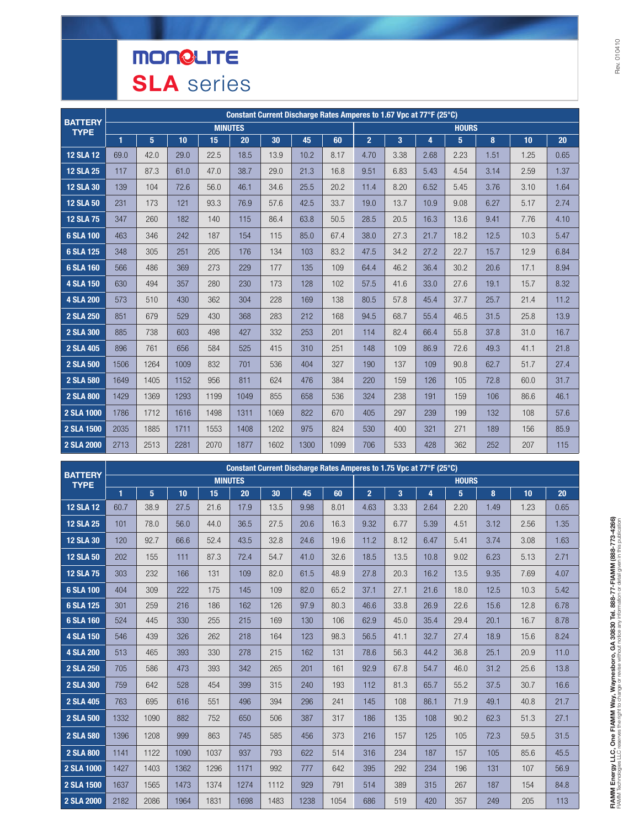# **MONGLITE SLA** series

| <b>BATTERY</b>   |              |      |      |                |      |      |      | Constant Current Discharge Rates Amperes to 1.67 Vpc at 77°F (25°C) |                |                |      |              |      |      |      |
|------------------|--------------|------|------|----------------|------|------|------|---------------------------------------------------------------------|----------------|----------------|------|--------------|------|------|------|
| <b>TYPE</b>      |              |      |      | <b>MINUTES</b> |      |      |      |                                                                     |                |                |      | <b>HOURS</b> |      |      |      |
|                  | $\mathbf{1}$ | 5    | 10   | 15             | 20   | 30   | 45   | 60                                                                  | $\overline{2}$ | 3 <sup>2</sup> | 4    | 5            | 8    | 10   | 20   |
| <b>12 SLA 12</b> | 69.0         | 42.0 | 29.0 | 22.5           | 18.5 | 13.9 | 10.2 | 8.17                                                                | 4.70           | 3.38           | 2.68 | 2.23         | 1.51 | 1.25 | 0.65 |
| <b>12 SLA 25</b> | 117          | 87.3 | 61.0 | 47.0           | 38.7 | 29.0 | 21.3 | 16.8                                                                | 9.51           | 6.83           | 5.43 | 4.54         | 3.14 | 2.59 | 1.37 |
| <b>12 SLA 30</b> | 139          | 104  | 72.6 | 56.0           | 46.1 | 34.6 | 25.5 | 20.2                                                                | 11.4           | 8.20           | 6.52 | 5.45         | 3.76 | 3.10 | 1.64 |
| <b>12 SLA 50</b> | 231          | 173  | 121  | 93.3           | 76.9 | 57.6 | 42.5 | 33.7                                                                | 19.0           | 13.7           | 10.9 | 9.08         | 6.27 | 5.17 | 2.74 |
| <b>12 SLA 75</b> | 347          | 260  | 182  | 140            | 115  | 86.4 | 63.8 | 50.5                                                                | 28.5           | 20.5           | 16.3 | 13.6         | 9.41 | 7.76 | 4.10 |
| 6 SLA 100        | 463          | 346  | 242  | 187            | 154  | 115  | 85.0 | 67.4                                                                | 38.0           | 27.3           | 21.7 | 18.2         | 12.5 | 10.3 | 5.47 |
| 6 SLA 125        | 348          | 305  | 251  | 205            | 176  | 134  | 103  | 83.2                                                                | 47.5           | 34.2           | 27.2 | 22.7         | 15.7 | 12.9 | 6.84 |
| 6 SLA 160        | 566          | 486  | 369  | 273            | 229  | 177  | 135  | 109                                                                 | 64.4           | 46.2           | 36.4 | 30.2         | 20.6 | 17.1 | 8.94 |
| <b>4 SLA 150</b> | 630          | 494  | 357  | 280            | 230  | 173  | 128  | 102                                                                 | 57.5           | 41.6           | 33.0 | 27.6         | 19.1 | 15.7 | 8.32 |
| <b>4 SLA 200</b> | 573          | 510  | 430  | 362            | 304  | 228  | 169  | 138                                                                 | 80.5           | 57.8           | 45.4 | 37.7         | 25.7 | 21.4 | 11.2 |
| 2 SLA 250        | 851          | 679  | 529  | 430            | 368  | 283  | 212  | 168                                                                 | 94.5           | 68.7           | 55.4 | 46.5         | 31.5 | 25.8 | 13.9 |
| 2 SLA 300        | 885          | 738  | 603  | 498            | 427  | 332  | 253  | 201                                                                 | 114            | 82.4           | 66.4 | 55.8         | 37.8 | 31.0 | 16.7 |
| 2 SLA 405        | 896          | 761  | 656  | 584            | 525  | 415  | 310  | 251                                                                 | 148            | 109            | 86.9 | 72.6         | 49.3 | 41.1 | 21.8 |
| 2 SLA 500        | 1506         | 1264 | 1009 | 832            | 701  | 536  | 404  | 327                                                                 | 190            | 137            | 109  | 90.8         | 62.7 | 51.7 | 27.4 |
| 2 SLA 580        | 1649         | 1405 | 1152 | 956            | 811  | 624  | 476  | 384                                                                 | 220            | 159            | 126  | 105          | 72.8 | 60.0 | 31.7 |
| 2 SLA 800        | 1429         | 1369 | 1293 | 1199           | 1049 | 855  | 658  | 536                                                                 | 324            | 238            | 191  | 159          | 106  | 86.6 | 46.1 |
| 2 SLA 1000       | 1786         | 1712 | 1616 | 1498           | 1311 | 1069 | 822  | 670                                                                 | 405            | 297            | 239  | 199          | 132  | 108  | 57.6 |
| 2 SLA 1500       | 2035         | 1885 | 1711 | 1553           | 1408 | 1202 | 975  | 824                                                                 | 530            | 400            | 321  | 271          | 189  | 156  | 85.9 |
| 2 SLA 2000       | 2713         | 2513 | 2281 | 2070           | 1877 | 1602 | 1300 | 1099                                                                | 706            | 533            | 428  | 362          | 252  | 207  | 115  |

|                               |              |                 |      |      |                |      | Constant Current Discharge Rates Amperes to 1.75 Vpc at 77°F (25°C) |      |                |      |      |                 |      |      |      |
|-------------------------------|--------------|-----------------|------|------|----------------|------|---------------------------------------------------------------------|------|----------------|------|------|-----------------|------|------|------|
| <b>BATTERY</b><br><b>TYPE</b> |              |                 |      |      | <b>MINUTES</b> |      |                                                                     |      |                |      |      | <b>HOURS</b>    |      |      |      |
|                               | $\mathbf{1}$ | $5\phantom{.0}$ | 10   | 15   | 20             | 30   | 45                                                                  | 60   | $\overline{2}$ | 3    | 4    | $5\phantom{.0}$ | 8    | 10   | 20   |
| <b>12 SLA 12</b>              | 60.7         | 38.9            | 27.5 | 21.6 | 17.9           | 13.5 | 9.98                                                                | 8.01 | 4.63           | 3.33 | 2.64 | 2.20            | 1.49 | 1.23 | 0.65 |
| <b>12 SLA 25</b>              | 101          | 78.0            | 56.0 | 44.0 | 36.5           | 27.5 | 20.6                                                                | 16.3 | 9.32           | 6.77 | 5.39 | 4.51            | 3.12 | 2.56 | 1.35 |
| <b>12 SLA 30</b>              | 120          | 92.7            | 66.6 | 52.4 | 43.5           | 32.8 | 24.6                                                                | 19.6 | 11.2           | 8.12 | 6.47 | 5.41            | 3.74 | 3.08 | 1.63 |
| <b>12 SLA 50</b>              | 202          | 155             | 111  | 87.3 | 72.4           | 54.7 | 41.0                                                                | 32.6 | 18.5           | 13.5 | 10.8 | 9.02            | 6.23 | 5.13 | 2.71 |
| <b>12 SLA 75</b>              | 303          | 232             | 166  | 131  | 109            | 82.0 | 61.5                                                                | 48.9 | 27.8           | 20.3 | 16.2 | 13.5            | 9.35 | 7.69 | 4.07 |
| 6 SLA 100                     | 404          | 309             | 222  | 175  | 145            | 109  | 82.0                                                                | 65.2 | 37.1           | 27.1 | 21.6 | 18.0            | 12.5 | 10.3 | 5.42 |
| 6 SLA 125                     | 301          | 259             | 216  | 186  | 162            | 126  | 97.9                                                                | 80.3 | 46.6           | 33.8 | 26.9 | 22.6            | 15.6 | 12.8 | 6.78 |
| 6 SLA 160                     | 524          | 445             | 330  | 255  | 215            | 169  | 130                                                                 | 106  | 62.9           | 45.0 | 35.4 | 29.4            | 20.1 | 16.7 | 8.78 |
| <b>4 SLA 150</b>              | 546          | 439             | 326  | 262  | 218            | 164  | 123                                                                 | 98.3 | 56.5           | 41.1 | 32.7 | 27.4            | 18.9 | 15.6 | 8.24 |
| <b>4 SLA 200</b>              | 513          | 465             | 393  | 330  | 278            | 215  | 162                                                                 | 131  | 78.6           | 56.3 | 44.2 | 36.8            | 25.1 | 20.9 | 11.0 |
| 2 SLA 250                     | 705          | 586             | 473  | 393  | 342            | 265  | 201                                                                 | 161  | 92.9           | 67.8 | 54.7 | 46.0            | 31.2 | 25.6 | 13.8 |
| 2 SLA 300                     | 759          | 642             | 528  | 454  | 399            | 315  | 240                                                                 | 193  | 112            | 81.3 | 65.7 | 55.2            | 37.5 | 30.7 | 16.6 |
| 2 SLA 405                     | 763          | 695             | 616  | 551  | 496            | 394  | 296                                                                 | 241  | 145            | 108  | 86.1 | 71.9            | 49.1 | 40.8 | 21.7 |
| <b>2 SLA 500</b>              | 1332         | 1090            | 882  | 752  | 650            | 506  | 387                                                                 | 317  | 186            | 135  | 108  | 90.2            | 62.3 | 51.3 | 27.1 |
| 2 SLA 580                     | 1396         | 1208            | 999  | 863  | 745            | 585  | 456                                                                 | 373  | 216            | 157  | 125  | 105             | 72.3 | 59.5 | 31.5 |
| 2 SLA 800                     | 1141         | 1122            | 1090 | 1037 | 937            | 793  | 622                                                                 | 514  | 316            | 234  | 187  | 157             | 105  | 85.6 | 45.5 |
| 2 SLA 1000                    | 1427         | 1403            | 1362 | 1296 | 1171           | 992  | 777                                                                 | 642  | 395            | 292  | 234  | 196             | 131  | 107  | 56.9 |
| 2 SLA 1500                    | 1637         | 1565            | 1473 | 1374 | 1274           | 1112 | 929                                                                 | 791  | 514            | 389  | 315  | 267             | 187  | 154  | 84.8 |
| 2 SLA 2000                    | 2182         | 2086            | 1964 | 1831 | 1698           | 1483 | 1238                                                                | 1054 | 686            | 519  | 420  | 357             | 249  | 205  | 113  |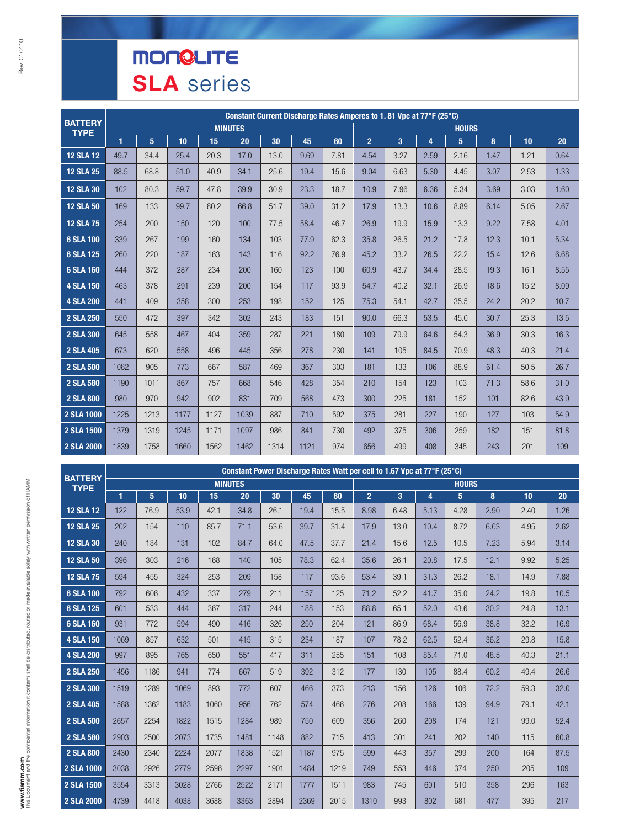# **MONGLITE SLA** series

| <b>BATTERY</b>   |      |                |      |                |      |      |      | Constant Current Discharge Rates Amperes to 1.81 Vpc at 77°F (25°C) |                |      |      |              |      |      |      |
|------------------|------|----------------|------|----------------|------|------|------|---------------------------------------------------------------------|----------------|------|------|--------------|------|------|------|
| <b>TYPE</b>      |      |                |      | <b>MINUTES</b> |      |      |      |                                                                     |                |      |      | <b>HOURS</b> |      |      |      |
|                  | 1    | 5 <sup>5</sup> | 10   | 15             | 20   | 30   | 45   | 60                                                                  | 2 <sup>2</sup> | 3    | 4    | 5            | 8    | 10   | 20   |
| <b>12 SLA 12</b> | 49.7 | 34.4           | 25.4 | 20.3           | 17.0 | 13.0 | 9.69 | 7.81                                                                | 4.54           | 3.27 | 2.59 | 2.16         | 1.47 | 1.21 | 0.64 |
| <b>12 SLA 25</b> | 88.5 | 68.8           | 51.0 | 40.9           | 34.1 | 25.6 | 19.4 | 15.6                                                                | 9.04           | 6.63 | 5.30 | 4.45         | 3.07 | 2.53 | 1.33 |
| <b>12 SLA 30</b> | 102  | 80.3           | 59.7 | 47.8           | 39.9 | 30.9 | 23.3 | 18.7                                                                | 10.9           | 7.96 | 6.36 | 5.34         | 3.69 | 3.03 | 1.60 |
| <b>12 SLA 50</b> | 169  | 133            | 99.7 | 80.2           | 66.8 | 51.7 | 39.0 | 31.2                                                                | 17.9           | 13.3 | 10.6 | 8.89         | 6.14 | 5.05 | 2.67 |
| <b>12 SLA 75</b> | 254  | 200            | 150  | 120            | 100  | 77.5 | 58.4 | 46.7                                                                | 26.9           | 19.9 | 15.9 | 13.3         | 9.22 | 7.58 | 4.01 |
| 6 SLA 100        | 339  | 267            | 199  | 160            | 134  | 103  | 77.9 | 62.3                                                                | 35.8           | 26.5 | 21.2 | 17.8         | 12.3 | 10.1 | 5.34 |
| 6 SLA 125        | 260  | 220            | 187  | 163            | 143  | 116  | 92.2 | 76.9                                                                | 45.2           | 33.2 | 26.5 | 22.2         | 15.4 | 12.6 | 6.68 |
| 6 SLA 160        | 444  | 372            | 287  | 234            | 200  | 160  | 123  | 100                                                                 | 60.9           | 43.7 | 34.4 | 28.5         | 19.3 | 16.1 | 8.55 |
| <b>4 SLA 150</b> | 463  | 378            | 291  | 239            | 200  | 154  | 117  | 93.9                                                                | 54.7           | 40.2 | 32.1 | 26.9         | 18.6 | 15.2 | 8.09 |
| <b>4 SLA 200</b> | 441  | 409            | 358  | 300            | 253  | 198  | 152  | 125                                                                 | 75.3           | 54.1 | 42.7 | 35.5         | 24.2 | 20.2 | 10.7 |
| 2 SLA 250        | 550  | 472            | 397  | 342            | 302  | 243  | 183  | 151                                                                 | 90.0           | 66.3 | 53.5 | 45.0         | 30.7 | 25.3 | 13.5 |
| 2 SLA 300        | 645  | 558            | 467  | 404            | 359  | 287  | 221  | 180                                                                 | 109            | 79.9 | 64.6 | 54.3         | 36.9 | 30.3 | 16.3 |
| 2 SLA 405        | 673  | 620            | 558  | 496            | 445  | 356  | 278  | 230                                                                 | 141            | 105  | 84.5 | 70.9         | 48.3 | 40.3 | 21.4 |
| 2 SLA 500        | 1082 | 905            | 773  | 667            | 587  | 469  | 367  | 303                                                                 | 181            | 133  | 106  | 88.9         | 61.4 | 50.5 | 26.7 |
| 2 SLA 580        | 1190 | 1011           | 867  | 757            | 668  | 546  | 428  | 354                                                                 | 210            | 154  | 123  | 103          | 71.3 | 58.6 | 31.0 |
| <b>2 SLA 800</b> | 980  | 970            | 942  | 902            | 831  | 709  | 568  | 473                                                                 | 300            | 225  | 181  | 152          | 101  | 82.6 | 43.9 |
| 2 SLA 1000       | 1225 | 1213           | 1177 | 1127           | 1039 | 887  | 710  | 592                                                                 | 375            | 281  | 227  | 190          | 127  | 103  | 54.9 |
| 2 SLA 1500       | 1379 | 1319           | 1245 | 1171           | 1097 | 986  | 841  | 730                                                                 | 492            | 375  | 306  | 259          | 182  | 151  | 81.8 |
| 2 SLA 2000       | 1839 | 1758           | 1660 | 1562           | 1462 | 1314 | 1121 | 974                                                                 | 656            | 499  | 408  | 345          | 243  | 201  | 109  |

| <b>BATTERY</b>   |      |      |      |                |      |      |      | Constant Power Discharge Rates Watt per cell to 1.67 Vpc at 77°F (25°C) |                |      |      |              |      |      |      |
|------------------|------|------|------|----------------|------|------|------|-------------------------------------------------------------------------|----------------|------|------|--------------|------|------|------|
| <b>TYPE</b>      |      |      |      | <b>MINUTES</b> |      |      |      |                                                                         |                |      |      | <b>HOURS</b> |      |      |      |
|                  | 1    | 5    | 10   | 15             | 20   | 30   | 45   | 60                                                                      | $\overline{2}$ | 3    | 4    | 5            | 8    | 10   | 20   |
| <b>12 SLA 12</b> | 122  | 76.9 | 53.9 | 42.1           | 34.8 | 26.1 | 19.4 | 15.5                                                                    | 8.98           | 6.48 | 5.13 | 4.28         | 2.90 | 2.40 | 1.26 |
| <b>12 SLA 25</b> | 202  | 154  | 110  | 85.7           | 71.1 | 53.6 | 39.7 | 31.4                                                                    | 17.9           | 13.0 | 10.4 | 8.72         | 6.03 | 4.95 | 2.62 |
| <b>12 SLA 30</b> | 240  | 184  | 131  | 102            | 84.7 | 64.0 | 47.5 | 37.7                                                                    | 21.4           | 15.6 | 12.5 | 10.5         | 7.23 | 5.94 | 3.14 |
| <b>12 SLA 50</b> | 396  | 303  | 216  | 168            | 140  | 105  | 78.3 | 62.4                                                                    | 35.6           | 26.1 | 20.8 | 17.5         | 12.1 | 9.92 | 5.25 |
| <b>12 SLA 75</b> | 594  | 455  | 324  | 253            | 209  | 158  | 117  | 93.6                                                                    | 53.4           | 39.1 | 31.3 | 26.2         | 18.1 | 14.9 | 7.88 |
| 6 SLA 100        | 792  | 606  | 432  | 337            | 279  | 211  | 157  | 125                                                                     | 71.2           | 52.2 | 41.7 | 35.0         | 24.2 | 19.8 | 10.5 |
| 6 SLA 125        | 601  | 533  | 444  | 367            | 317  | 244  | 188  | 153                                                                     | 88.8           | 65.1 | 52.0 | 43.6         | 30.2 | 24.8 | 13.1 |
| 6 SLA 160        | 931  | 772  | 594  | 490            | 416  | 326  | 250  | 204                                                                     | 121            | 86.9 | 68.4 | 56.9         | 38.8 | 32.2 | 16.9 |
| <b>4 SLA 150</b> | 1069 | 857  | 632  | 501            | 415  | 315  | 234  | 187                                                                     | 107            | 78.2 | 62.5 | 52.4         | 36.2 | 29.8 | 15.8 |
| <b>4 SLA 200</b> | 997  | 895  | 765  | 650            | 551  | 417  | 311  | 255                                                                     | 151            | 108  | 85.4 | 71.0         | 48.5 | 40.3 | 21.1 |
| 2 SLA 250        | 1456 | 1186 | 941  | 774            | 667  | 519  | 392  | 312                                                                     | 177            | 130  | 105  | 88.4         | 60.2 | 49.4 | 26.6 |
| <b>2 SLA 300</b> | 1519 | 1289 | 1069 | 893            | 772  | 607  | 466  | 373                                                                     | 213            | 156  | 126  | 106          | 72.2 | 59.3 | 32.0 |
| 2 SLA 405        | 1588 | 1362 | 1183 | 1060           | 956  | 762  | 574  | 466                                                                     | 276            | 208  | 166  | 139          | 94.9 | 79.1 | 42.1 |
| <b>2 SLA 500</b> | 2657 | 2254 | 1822 | 1515           | 1284 | 989  | 750  | 609                                                                     | 356            | 260  | 208  | 174          | 121  | 99.0 | 52.4 |
| 2 SLA 580        | 2903 | 2500 | 2073 | 1735           | 1481 | 1148 | 882  | 715                                                                     | 413            | 301  | 241  | 202          | 140  | 115  | 60.8 |
| <b>2 SLA 800</b> | 2430 | 2340 | 2224 | 2077           | 1838 | 1521 | 1187 | 975                                                                     | 599            | 443  | 357  | 299          | 200  | 164  | 87.5 |
| 2 SLA 1000       | 3038 | 2926 | 2779 | 2596           | 2297 | 1901 | 1484 | 1219                                                                    | 749            | 553  | 446  | 374          | 250  | 205  | 109  |
| 2 SLA 1500       | 3554 | 3313 | 3028 | 2766           | 2522 | 2171 | 1777 | 1511                                                                    | 983            | 745  | 601  | 510          | 358  | 296  | 163  |
| 2 SLA 2000       | 4739 | 4418 | 4038 | 3688           | 3363 | 2894 | 2369 | 2015                                                                    | 1310           | 993  | 802  | 681          | 477  | 395  | 217  |